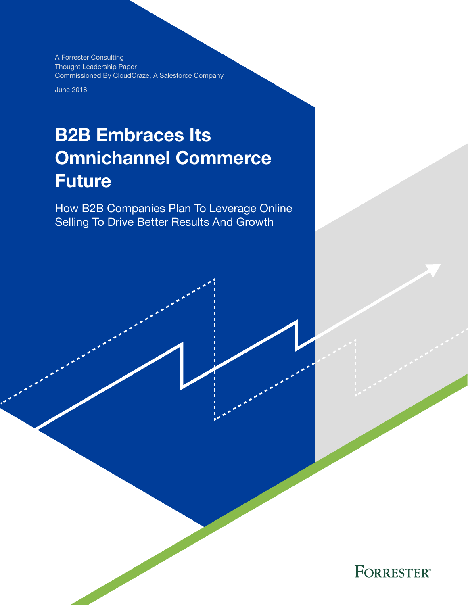A Forrester Consulting Thought Leadership Paper Commissioned By CloudCraze, A Salesforce Company

June 2018

# B2B Embraces Its Omnichannel Commerce Future

How B2B Companies Plan To Leverage Online Selling To Drive Better Results And Growth

**FORRESTER®**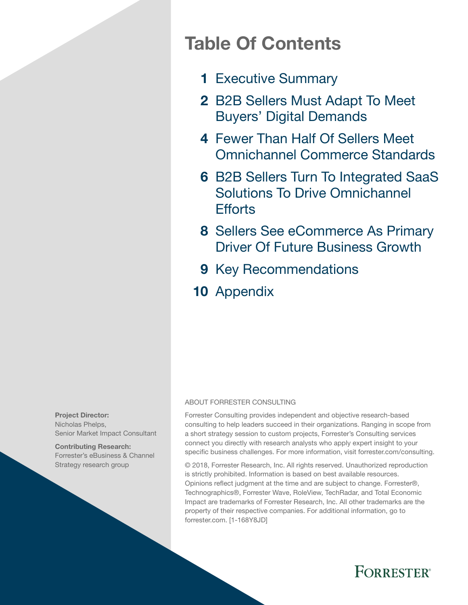# Table Of Contents

- 1 Executive Summary
- 2 B2B Sellers Must Adapt To Meet Buyers' Digital Demands
- 4 Fewer Than Half Of Sellers Meet Omnichannel Commerce Standards
- **6 B2B Sellers Turn To Integrated SaaS** Solutions To Drive Omnichannel **Ffforts**
- 8 Sellers See eCommerce As Primary Driver Of Future Business Growth
- 9 Key Recommendations
- 10 Appendix

#### ABOUT FORRESTER CONSULTING

Forrester Consulting provides independent and objective research-based consulting to help leaders succeed in their organizations. Ranging in scope from a short strategy session to custom projects, Forrester's Consulting services connect you directly with research analysts who apply expert insight to your specific business challenges. For more information, visit forrester.com/consulting.

© 2018, Forrester Research, Inc. All rights reserved. Unauthorized reproduction is strictly prohibited. Information is based on best available resources. Opinions reflect judgment at the time and are subject to change. Forrester®, Technographics®, Forrester Wave, RoleView, TechRadar, and Total Economic Impact are trademarks of Forrester Research, Inc. All other trademarks are the property of their respective companies. For additional information, go to forrester.com. [1-168Y8JD]



Contributing Research: Forrester's eBusiness & Channel Strategy research group

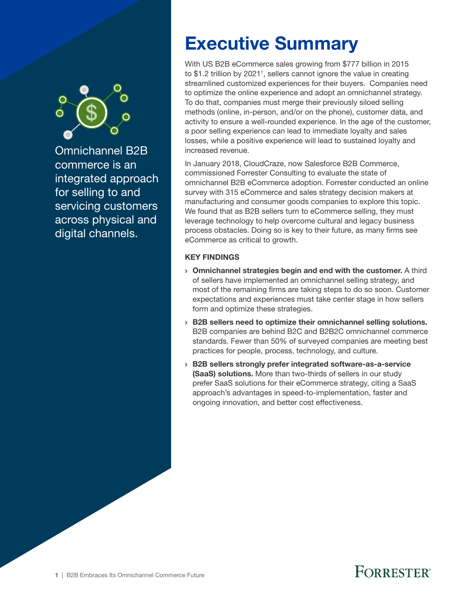

Omnichannel B2B commerce is an integrated approach for selling to and servicing customers across physical and digital channels.

# Executive Summary

With US B2B eCommerce sales growing from \$777 billion in 2015 to \$1.2 trillion by 2021<sup>1</sup>, sellers cannot ignore the value in creating streamlined customized experiences for their buyers. Companies need to optimize the online experience and adopt an omnichannel strategy. To do that, companies must merge their previously siloed selling methods (online, in-person, and/or on the phone), customer data, and activity to ensure a well-rounded experience. In the age of the customer, a poor selling experience can lead to immediate loyalty and sales losses, while a positive experience will lead to sustained loyalty and increased revenue.

In January 2018, CloudCraze, now Salesforce B2B Commerce, commissioned Forrester Consulting to evaluate the state of omnichannel B2B eCommerce adoption. Forrester conducted an online survey with 315 eCommerce and sales strategy decision makers at manufacturing and consumer goods companies to explore this topic. We found that as B2B sellers turn to eCommerce selling, they must leverage technology to help overcome cultural and legacy business process obstacles. Doing so is key to their future, as many firms see eCommerce as critical to growth.

#### KEY FINDINGS

- › Omnichannel strategies begin and end with the customer. A third of sellers have implemented an omnichannel selling strategy, and most of the remaining firms are taking steps to do so soon. Customer expectations and experiences must take center stage in how sellers form and optimize these strategies.
- › B2B sellers need to optimize their omnichannel selling solutions. B2B companies are behind B2C and B2B2C omnichannel commerce standards. Fewer than 50% of surveyed companies are meeting best practices for people, process, technology, and culture.
- › B2B sellers strongly prefer integrated software-as-a-service (SaaS) solutions. More than two-thirds of sellers in our study prefer SaaS solutions for their eCommerce strategy, citing a SaaS approach's advantages in speed-to-implementation, faster and ongoing innovation, and better cost effectiveness.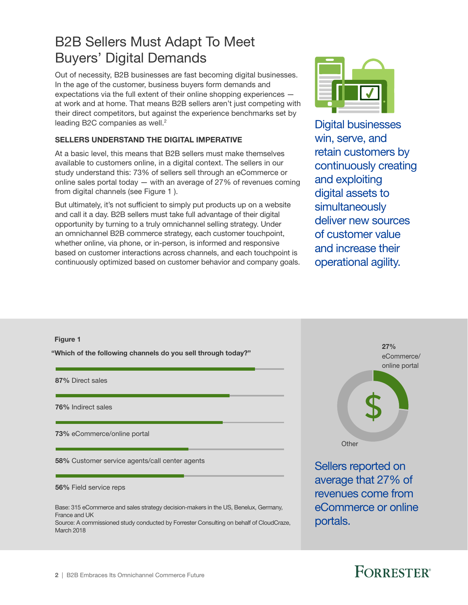## B2B Sellers Must Adapt To Meet Buyers' Digital Demands

Out of necessity, B2B businesses are fast becoming digital businesses. In the age of the customer, business buyers form demands and expectations via the full extent of their online shopping experiences at work and at home. That means B2B sellers aren't just competing with their direct competitors, but against the experience benchmarks set by leading B2C companies as well.<sup>2</sup>

#### SELLERS UNDERSTAND THE DIGITAL IMPERATIVE

At a basic level, this means that B2B sellers must make themselves available to customers online, in a digital context. The sellers in our study understand this: 73% of sellers sell through an eCommerce or online sales portal today — with an average of 27% of revenues coming from digital channels (see Figure 1 ).

But ultimately, it's not sufficient to simply put products up on a website and call it a day. B2B sellers must take full advantage of their digital opportunity by turning to a truly omnichannel selling strategy. Under an omnichannel B2B commerce strategy, each customer touchpoint, whether online, via phone, or in-person, is informed and responsive based on customer interactions across channels, and each touchpoint is continuously optimized based on customer behavior and company goals.



Digital businesses win, serve, and retain customers by continuously creating and exploiting digital assets to simultaneously deliver new sources of customer value and increase their operational agility.

# Figure 1 "Which of the following channels do you sell through today?" Base: 315 eCommerce and sales strategy decision-makers in the US, Benelux, Germany, France and UK Source: A commissioned study conducted by Forrester Consulting on behalf of CloudCraze, 87% Direct sales 76% Indirect sales 73% eCommerce/online portal 58% Customer service agents/call center agents 56% Field service reps

March 2018



Sellers reported on average that 27% of revenues come from eCommerce or online portals.

# **FORRESTER**®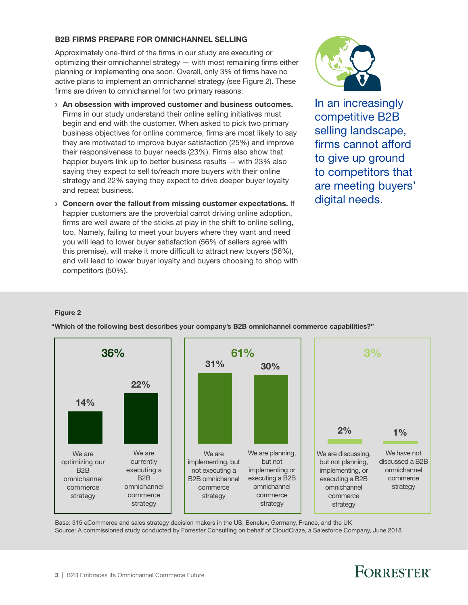#### B2B FIRMS PREPARE FOR OMNICHANNEL SELLING

Approximately one-third of the firms in our study are executing or optimizing their omnichannel strategy — with most remaining firms either planning or implementing one soon. Overall, only 3% of firms have no active plans to implement an omnichannel strategy (see Figure 2). These firms are driven to omnichannel for two primary reasons:

- › An obsession with improved customer and business outcomes. Firms in our study understand their online selling initiatives must begin and end with the customer. When asked to pick two primary business objectives for online commerce, firms are most likely to say they are motivated to improve buyer satisfaction (25%) and improve their responsiveness to buyer needs (23%). Firms also show that happier buyers link up to better business results — with 23% also saying they expect to sell to/reach more buyers with their online strategy and 22% saying they expect to drive deeper buyer loyalty and repeat business.
- › Concern over the fallout from missing customer expectations. If happier customers are the proverbial carrot driving online adoption, firms are well aware of the sticks at play in the shift to online selling, too. Namely, failing to meet your buyers where they want and need you will lead to lower buyer satisfaction (56% of sellers agree with this premise), will make it more difficult to attract new buyers (56%), and will lead to lower buyer loyalty and buyers choosing to shop with competitors (50%).



In an increasingly competitive B2B selling landscape, firms cannot afford to give up ground to competitors that are meeting buyers' digital needs.

#### Figure 2



"Which of the following best describes your company's B2B omnichannel commerce capabilities?"

Base: 315 eCommerce and sales strategy decision makers in the US, Benelux, Germany, France, and the UK Source: A commissioned study conducted by Forrester Consulting on behalf of CloudCraze, a Salesforce Company, June 2018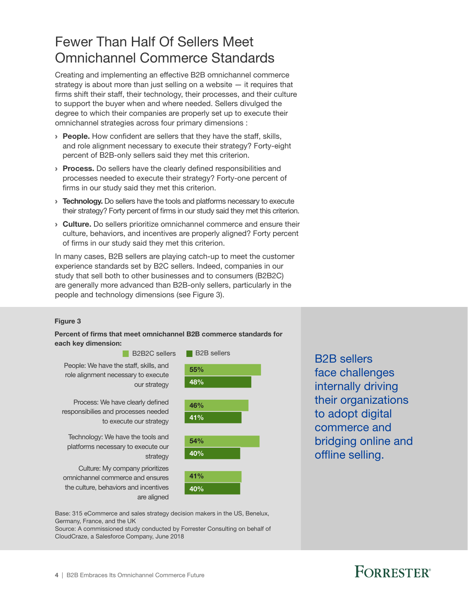### Fewer Than Half Of Sellers Meet Omnichannel Commerce Standards

Creating and implementing an effective B2B omnichannel commerce strategy is about more than just selling on a website — it requires that firms shift their staff, their technology, their processes, and their culture to support the buyer when and where needed. Sellers divulged the degree to which their companies are properly set up to execute their omnichannel strategies across four primary dimensions :

- **People.** How confident are sellers that they have the staff, skills, and role alignment necessary to execute their strategy? Forty-eight percent of B2B-only sellers said they met this criterion.
- **Process.** Do sellers have the clearly defined responsibilities and processes needed to execute their strategy? Forty-one percent of firms in our study said they met this criterion.
- **> Technology.** Do sellers have the tools and platforms necessary to execute their strategy? Forty percent of firms in our study said they met this criterion.
- **Culture.** Do sellers prioritize omnichannel commerce and ensure their culture, behaviors, and incentives are properly aligned? Forty percent of firms in our study said they met this criterion.

In many cases, B2B sellers are playing catch-up to meet the customer experience standards set by B2C sellers. Indeed, companies in our study that sell both to other businesses and to consumers (B2B2C) are generally more advanced than B2B-only sellers, particularly in the people and technology dimensions (see Figure 3).

#### Figure 3

#### Percent of firms that meet omnichannel B2B commerce standards for each key dimension:



B2B sellers face challenges internally driving their organizations to adopt digital commerce and bridging online and offline selling.

Base: 315 eCommerce and sales strategy decision makers in the US, Benelux, Germany, France, and the UK

Source: A commissioned study conducted by Forrester Consulting on behalf of CloudCraze, a Salesforce Company, June 2018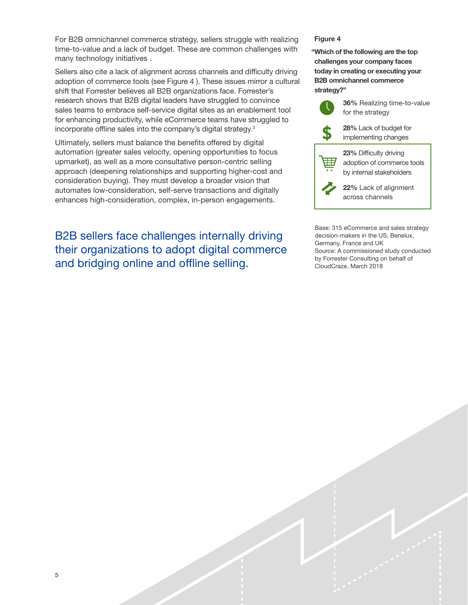For B2B omnichannel commerce strategy, sellers struggle with realizing time-to-value and a lack of budget. These are common challenges with many technology initiatives .

Sellers also cite a lack of alignment across channels and difficulty driving adoption of commerce tools (see Figure 4 ). These issues mirror a cultural shift that Forrester believes all B2B organizations face. Forrester's research shows that B2B digital leaders have struggled to convince sales teams to embrace self-service digital sites as an enablement tool for enhancing productivity, while eCommerce teams have struggled to incorporate offline sales into the company's digital strategy.3

Ultimately, sellers must balance the benefits offered by digital automation (greater sales velocity, opening opportunities to focus upmarket), as well as a more consultative person-centric selling approach (deepening relationships and supporting higher-cost and consideration buying). They must develop a broader vision that automates low-consideration, self-serve transactions and digitally enhances high-consideration, complex, in-person engagements.

B2B sellers face challenges internally driving their organizations to adopt digital commerce and bridging online and offline selling.

#### Figure 4

"Which of the following are the top challenges your company faces today in creating or executing your B2B omnichannel commerce strategy?"



36% Realizing time-to-value for the strategy

28% Lack of budget for implementing changes



23% Difficulty driving adoption of commerce tools by internal stakeholders

22% Lack of alignment across channels

Base: 315 eCommerce and sales strategy decision-makers in the US, Benelux, Germany, France and UK Source: A commissioned study conducted by Forrester Consulting on behalf of CloudCraze, March 2018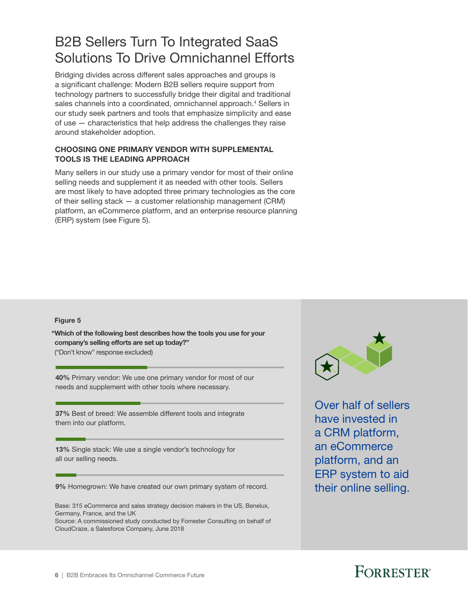## B2B Sellers Turn To Integrated SaaS Solutions To Drive Omnichannel Efforts

Bridging divides across different sales approaches and groups is a significant challenge: Modern B2B sellers require support from technology partners to successfully bridge their digital and traditional sales channels into a coordinated, omnichannel approach.<sup>4</sup> Sellers in our study seek partners and tools that emphasize simplicity and ease of use — characteristics that help address the challenges they raise around stakeholder adoption.

#### CHOOSING ONE PRIMARY VENDOR WITH SUPPLEMENTAL TOOLS IS THE LEADING APPROACH

Many sellers in our study use a primary vendor for most of their online selling needs and supplement it as needed with other tools. Sellers are most likely to have adopted three primary technologies as the core of their selling stack — a customer relationship management (CRM) platform, an eCommerce platform, and an enterprise resource planning (ERP) system (see Figure 5).

#### Figure 5

"Which of the following best describes how the tools you use for your company's selling efforts are set up today?" ("Don't know" response excluded)

40% Primary vendor: We use one primary vendor for most of our needs and supplement with other tools where necessary.

37% Best of breed: We assemble different tools and integrate them into our platform.

13% Single stack: We use a single vendor's technology for all our selling needs.

9% Homegrown: We have created our own primary system of record.

Base: 315 eCommerce and sales strategy decision makers in the US, Benelux, Germany, France, and the UK

Source: A commissioned study conducted by Forrester Consulting on behalf of CloudCraze, a Salesforce Company, June 2018



Over half of sellers have invested in a CRM platform, an eCommerce platform, and an ERP system to aid their online selling.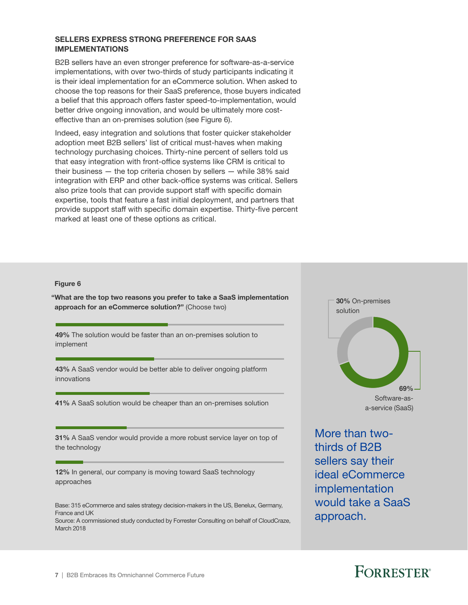#### SELLERS EXPRESS STRONG PREFERENCE FOR SAAS IMPLEMENTATIONS

B2B sellers have an even stronger preference for software-as-a-service implementations, with over two-thirds of study participants indicating it is their ideal implementation for an eCommerce solution. When asked to choose the top reasons for their SaaS preference, those buyers indicated a belief that this approach offers faster speed-to-implementation, would better drive ongoing innovation, and would be ultimately more costeffective than an on-premises solution (see Figure 6).

Indeed, easy integration and solutions that foster quicker stakeholder adoption meet B2B sellers' list of critical must-haves when making technology purchasing choices. Thirty-nine percent of sellers told us that easy integration with front-office systems like CRM is critical to their business — the top criteria chosen by sellers — while 38% said integration with ERP and other back-office systems was critical. Sellers also prize tools that can provide support staff with specific domain expertise, tools that feature a fast initial deployment, and partners that provide support staff with specific domain expertise. Thirty-five percent marked at least one of these options as critical.

#### Figure 6

"What are the top two reasons you prefer to take a SaaS implementation approach for an eCommerce solution?" (Choose two)

49% The solution would be faster than an on-premises solution to implement

43% A SaaS vendor would be better able to deliver ongoing platform innovations

41% A SaaS solution would be cheaper than an on-premises solution

31% A SaaS vendor would provide a more robust service layer on top of the technology

12% In general, our company is moving toward SaaS technology approaches

Base: 315 eCommerce and sales strategy decision-makers in the US, Benelux, Germany, France and UK

Source: A commissioned study conducted by Forrester Consulting on behalf of CloudCraze, March 2018



More than twothirds of B2B sellers say their ideal eCommerce implementation would take a SaaS approach.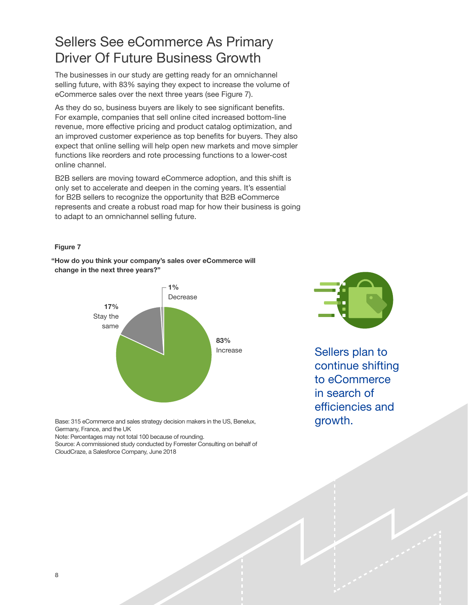## Sellers See eCommerce As Primary Driver Of Future Business Growth

The businesses in our study are getting ready for an omnichannel selling future, with 83% saying they expect to increase the volume of eCommerce sales over the next three years (see Figure 7).

As they do so, business buyers are likely to see significant benefits. For example, companies that sell online cited increased bottom-line revenue, more effective pricing and product catalog optimization, and an improved customer experience as top benefits for buyers. They also expect that online selling will help open new markets and move simpler functions like reorders and rote processing functions to a lower-cost online channel.

B2B sellers are moving toward eCommerce adoption, and this shift is only set to accelerate and deepen in the coming years. It's essential for B2B sellers to recognize the opportunity that B2B eCommerce represents and create a robust road map for how their business is going to adapt to an omnichannel selling future.

#### Figure 7

"How do you think your company's sales over eCommerce will change in the next three years?"



Sellers plan to continue shifting to eCommerce in search of efficiencies and growth.

Base: 315 eCommerce and sales strategy decision makers in the US, Benelux, Germany, France, and the UK

Note: Percentages may not total 100 because of rounding.

Source: A commissioned study conducted by Forrester Consulting on behalf of CloudCraze, a Salesforce Company, June 2018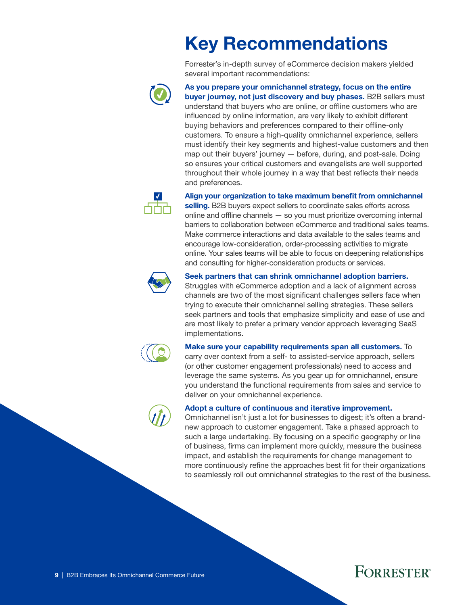# Key Recommendations

Forrester's in-depth survey of eCommerce decision makers yielded several important recommendations:



As you prepare your omnichannel strategy, focus on the entire buyer journey, not just discovery and buy phases. B2B sellers must understand that buyers who are online, or offline customers who are influenced by online information, are very likely to exhibit different buying behaviors and preferences compared to their offline-only customers. To ensure a high-quality omnichannel experience, sellers must identify their key segments and highest-value customers and then map out their buyers' journey — before, during, and post-sale. Doing so ensures your critical customers and evangelists are well supported throughout their whole journey in a way that best reflects their needs and preferences.



#### Align your organization to take maximum benefit from omnichannel

selling. B2B buyers expect sellers to coordinate sales efforts across online and offline channels — so you must prioritize overcoming internal barriers to collaboration between eCommerce and traditional sales teams. Make commerce interactions and data available to the sales teams and encourage low-consideration, order-processing activities to migrate online. Your sales teams will be able to focus on deepening relationships and consulting for higher-consideration products or services.



#### Seek partners that can shrink omnichannel adoption barriers.

Struggles with eCommerce adoption and a lack of alignment across channels are two of the most significant challenges sellers face when trying to execute their omnichannel selling strategies. These sellers seek partners and tools that emphasize simplicity and ease of use and are most likely to prefer a primary vendor approach leveraging SaaS implementations.



#### Make sure your capability requirements span all customers. To

carry over context from a self- to assisted-service approach, sellers (or other customer engagement professionals) need to access and leverage the same systems. As you gear up for omnichannel, ensure you understand the functional requirements from sales and service to deliver on your omnichannel experience.



#### Adopt a culture of continuous and iterative improvement.

Omnichannel isn't just a lot for businesses to digest; it's often a brandnew approach to customer engagement. Take a phased approach to such a large undertaking. By focusing on a specific geography or line of business, firms can implement more quickly, measure the business impact, and establish the requirements for change management to more continuously refine the approaches best fit for their organizations to seamlessly roll out omnichannel strategies to the rest of the business.